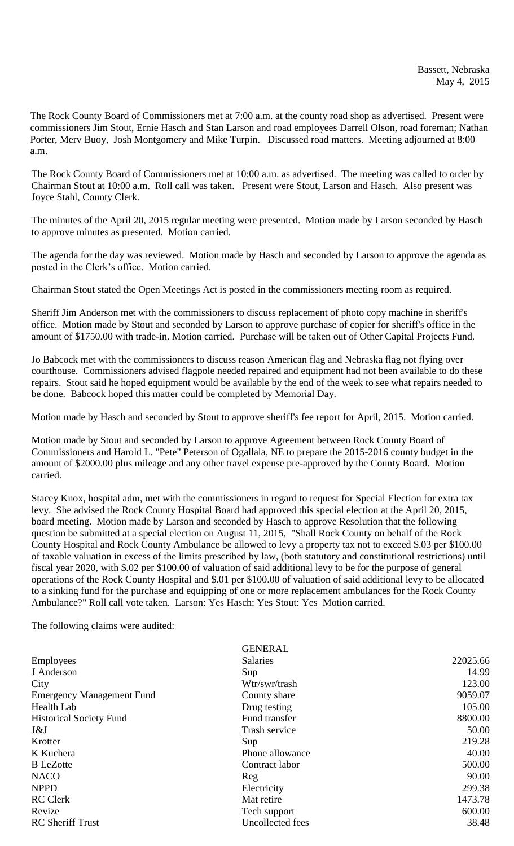The Rock County Board of Commissioners met at 7:00 a.m. at the county road shop as advertised. Present were commissioners Jim Stout, Ernie Hasch and Stan Larson and road employees Darrell Olson, road foreman; Nathan Porter, Merv Buoy, Josh Montgomery and Mike Turpin. Discussed road matters. Meeting adjourned at 8:00 a.m.

The Rock County Board of Commissioners met at 10:00 a.m. as advertised. The meeting was called to order by Chairman Stout at 10:00 a.m. Roll call was taken. Present were Stout, Larson and Hasch. Also present was Joyce Stahl, County Clerk.

The minutes of the April 20, 2015 regular meeting were presented. Motion made by Larson seconded by Hasch to approve minutes as presented. Motion carried.

The agenda for the day was reviewed. Motion made by Hasch and seconded by Larson to approve the agenda as posted in the Clerk's office. Motion carried.

Chairman Stout stated the Open Meetings Act is posted in the commissioners meeting room as required.

Sheriff Jim Anderson met with the commissioners to discuss replacement of photo copy machine in sheriff's office. Motion made by Stout and seconded by Larson to approve purchase of copier for sheriff's office in the amount of \$1750.00 with trade-in. Motion carried. Purchase will be taken out of Other Capital Projects Fund.

Jo Babcock met with the commissioners to discuss reason American flag and Nebraska flag not flying over courthouse. Commissioners advised flagpole needed repaired and equipment had not been available to do these repairs. Stout said he hoped equipment would be available by the end of the week to see what repairs needed to be done. Babcock hoped this matter could be completed by Memorial Day.

Motion made by Hasch and seconded by Stout to approve sheriff's fee report for April, 2015. Motion carried.

Motion made by Stout and seconded by Larson to approve Agreement between Rock County Board of Commissioners and Harold L. "Pete" Peterson of Ogallala, NE to prepare the 2015-2016 county budget in the amount of \$2000.00 plus mileage and any other travel expense pre-approved by the County Board. Motion carried.

Stacey Knox, hospital adm, met with the commissioners in regard to request for Special Election for extra tax levy. She advised the Rock County Hospital Board had approved this special election at the April 20, 2015, board meeting. Motion made by Larson and seconded by Hasch to approve Resolution that the following question be submitted at a special election on August 11, 2015, "Shall Rock County on behalf of the Rock County Hospital and Rock County Ambulance be allowed to levy a property tax not to exceed \$.03 per \$100.00 of taxable valuation in excess of the limits prescribed by law, (both statutory and constitutional restrictions) until fiscal year 2020, with \$.02 per \$100.00 of valuation of said additional levy to be for the purpose of general operations of the Rock County Hospital and \$.01 per \$100.00 of valuation of said additional levy to be allocated to a sinking fund for the purchase and equipping of one or more replacement ambulances for the Rock County Ambulance?" Roll call vote taken. Larson: Yes Hasch: Yes Stout: Yes Motion carried.

The following claims were audited:

| <b>GENERAL</b>   |          |
|------------------|----------|
| <b>Salaries</b>  | 22025.66 |
| Sup              | 14.99    |
| Wtr/swr/trash    | 123.00   |
| County share     | 9059.07  |
| Drug testing     | 105.00   |
| Fund transfer    | 8800.00  |
| Trash service    | 50.00    |
| Sup              | 219.28   |
| Phone allowance  | 40.00    |
| Contract labor   | 500.00   |
| Reg              | 90.00    |
| Electricity      | 299.38   |
| Mat retire       | 1473.78  |
| Tech support     | 600.00   |
| Uncollected fees | 38.48    |
|                  |          |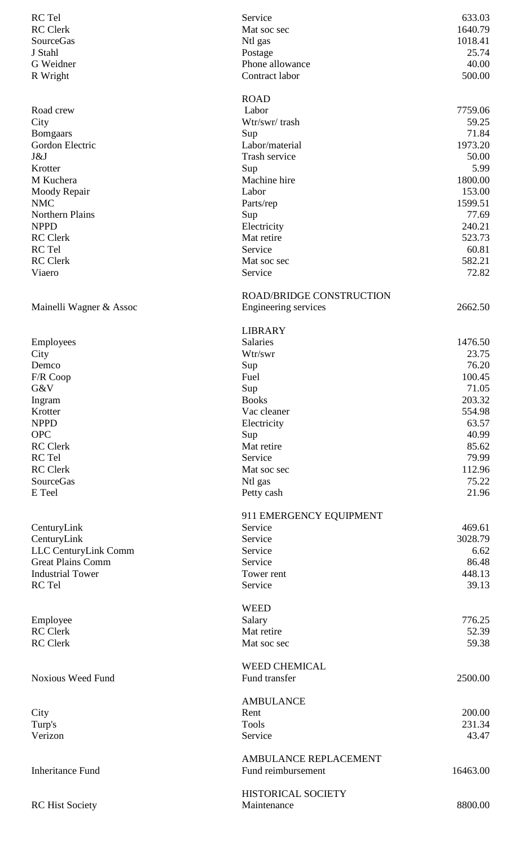| RC Tel                              | Service                         | 633.03            |
|-------------------------------------|---------------------------------|-------------------|
| <b>RC</b> Clerk                     | Mat soc sec                     | 1640.79           |
| <b>SourceGas</b>                    | Ntl gas                         | 1018.41           |
| J Stahl                             | Postage                         | 25.74             |
| G Weidner                           | Phone allowance                 | 40.00             |
| R Wright                            | Contract labor                  | 500.00            |
|                                     |                                 |                   |
| Road crew                           | <b>ROAD</b><br>Labor            | 7759.06           |
| City                                | Wtr/swr/trash                   | 59.25             |
| <b>Bomgaars</b>                     | Sup                             | 71.84             |
| Gordon Electric                     | Labor/material                  | 1973.20           |
| J&J                                 | Trash service                   | 50.00             |
| Krotter                             | Sup                             | 5.99              |
| M Kuchera                           | Machine hire                    | 1800.00           |
| Moody Repair                        | Labor                           | 153.00            |
| <b>NMC</b>                          | Parts/rep                       | 1599.51           |
| Northern Plains                     | Sup                             | 77.69             |
| <b>NPPD</b>                         | Electricity                     | 240.21            |
| <b>RC</b> Clerk                     | Mat retire                      | 523.73            |
| RC Tel                              | Service                         | 60.81             |
| <b>RC</b> Clerk                     | Mat soc sec                     | 582.21            |
| Viaero                              | Service                         | 72.82             |
|                                     |                                 |                   |
|                                     | <b>ROAD/BRIDGE CONSTRUCTION</b> |                   |
| Mainelli Wagner & Assoc             | Engineering services            | 2662.50           |
|                                     |                                 |                   |
|                                     | <b>LIBRARY</b>                  | 1476.50           |
| Employees<br>City                   | Salaries<br>Wtr/swr             | 23.75             |
| Demco                               | Sup                             | 76.20             |
| F/R Coop                            | Fuel                            | 100.45            |
| G&V                                 | Sup                             | 71.05             |
| Ingram                              | <b>Books</b>                    | 203.32            |
| Krotter                             | Vac cleaner                     | 554.98            |
| <b>NPPD</b>                         | Electricity                     | 63.57             |
| <b>OPC</b>                          | Sup                             | 40.99             |
| <b>RC</b> Clerk                     | Mat retire                      | 85.62             |
| RC Tel                              | Service                         | 79.99             |
| <b>RC</b> Clerk                     | Mat soc sec                     | 112.96            |
| <b>SourceGas</b>                    | Ntl gas                         | 75.22             |
| E Teel                              | Petty cash                      | 21.96             |
|                                     |                                 |                   |
|                                     | 911 EMERGENCY EQUIPMENT         |                   |
| CenturyLink                         | Service<br>Service              | 469.61<br>3028.79 |
| CenturyLink<br>LLC CenturyLink Comm | Service                         | 6.62              |
| <b>Great Plains Comm</b>            | Service                         | 86.48             |
| <b>Industrial Tower</b>             | Tower rent                      | 448.13            |
| RC Tel                              | Service                         | 39.13             |
|                                     |                                 |                   |
|                                     | <b>WEED</b>                     |                   |
| Employee                            | Salary                          | 776.25            |
| <b>RC</b> Clerk                     | Mat retire                      | 52.39             |
| <b>RC</b> Clerk                     | Mat soc sec                     | 59.38             |
|                                     |                                 |                   |
|                                     | <b>WEED CHEMICAL</b>            |                   |
| <b>Noxious Weed Fund</b>            | Fund transfer                   | 2500.00           |
|                                     |                                 |                   |
|                                     | <b>AMBULANCE</b>                |                   |
| City                                | Rent<br><b>Tools</b>            | 200.00            |
| Turp's<br>Verizon                   | Service                         | 231.34<br>43.47   |
|                                     |                                 |                   |
|                                     | AMBULANCE REPLACEMENT           |                   |
| <b>Inheritance Fund</b>             | Fund reimbursement              | 16463.00          |
|                                     |                                 |                   |
|                                     | HISTORICAL SOCIETY              |                   |
| <b>RC</b> Hist Society              | Maintenance                     | 8800.00           |
|                                     |                                 |                   |